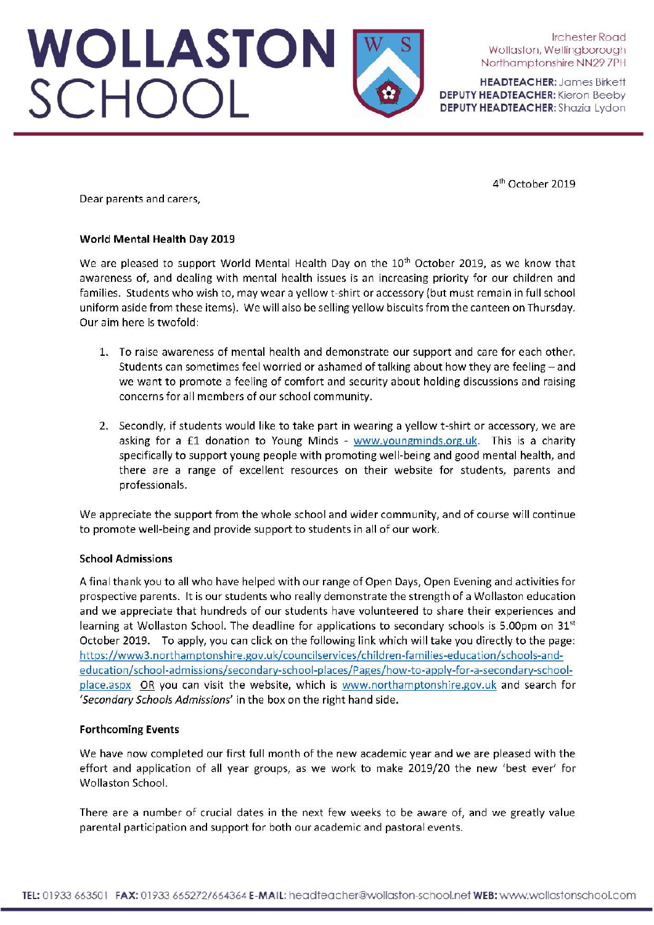WOLLASTON<br>SCHOOL

Irchester Road Wollaston, Wellingborough Northamptonshire NN297PH

**HEADTEACHER: James Birkett DEPUTY HEADTEACHER:** Kieron Beeby DEPUTY HEADTEACHER: Shazia Lydon

4<sup>th</sup> October 2019

Dear parents and carers.

#### World Mental Health Day 2019

We are pleased to support World Mental Health Day on the 10<sup>th</sup> October 2019, as we know that awareness of, and dealing with mental health issues is an increasing priority for our children and families. Students who wish to, may wear a yellow t-shirt or accessory (but must remain in full school uniform aside from these items). We will also be selling yellow biscuits from the canteen on Thursday. Our aim here is twofold:

- 1. To raise awareness of mental health and demonstrate our support and care for each other. Students can sometimes feel worried or ashamed of talking about how they are feeling  $-$  and we want to promote a feeling of comfort and security about holding discussions and raising concerns for all members of our school community.
- 2. Secondly, if students would like to take part in wearing a yellow t-shirt or accessory, we are asking for a £1 donation to Young Minds - www.youngminds.org.uk. This is a charity specifically to support young people with promoting well-being and good mental health, and there are a range of excellent resources on their website for students, parents and professionals.

We appreciate the support from the whole school and wider community, and of course will continue to promote well-being and provide support to students in all of our work.

### **School Admissions**

A final thank you to all who have helped with our range of Open Days, Open Evening and activities for prospective parents. It is our students who really demonstrate the strength of a Wollaston education and we appreciate that hundreds of our students have volunteered to share their experiences and learning at Wollaston School. The deadline for applications to secondary schools is 5.00pm on 31st October 2019. To apply, you can click on the following link which will take you directly to the page: https://www3.northamptonshire.gov.uk/councilservices/children-families-education/schools-andeducation/school-admissions/secondary-school-places/Pages/how-to-apply-for-a-secondary-schoolplace.aspx OR you can visit the website, which is www.northamptonshire.gov.uk and search for 'Secondary Schools Admissions' in the box on the right hand side.

### **Forthcoming Events**

We have now completed our first full month of the new academic year and we are pleased with the effort and application of all year groups, as we work to make 2019/20 the new 'best ever' for Wollaston School.

There are a number of crucial dates in the next few weeks to be aware of, and we greatly value parental participation and support for both our academic and pastoral events.